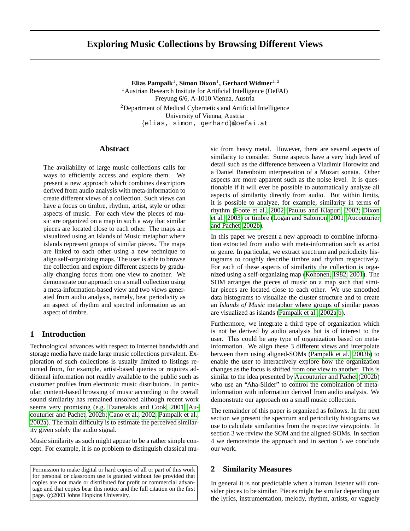# **Exploring Music Collections by Browsing Different Views**

 ${\bf E}$ lias Pampalk $^1,$  Simon Dixon $^1,$  Gerhard Widmer $^{1,2}$ <sup>1</sup> Austrian Research Insitute for Artificial Intelligence (OeFAI) Freyung 6/6, A-1010 Vienna, Austria <sup>2</sup>Department of Medical Cybernetics and Artificial Intelligence University of Vienna, Austria

{elias, simon, gerhard}@oefai.at

## **Abstract**

The availability of large music collections calls for ways to efficiently access and explore them. We present a new approach which combines descriptors derived from audio analysis with meta-information to create different views of a collection. Such views can have a focus on timbre, rhythm, artist, style or other aspects of music. For each view the pieces of music are organized on a map in such a way that similar pieces are located close to each other. The maps are visualized using an Islands of Music metaphor where islands represent groups of similar pieces. The maps are linked to each other using a new technique to align self-organizing maps. The user is able to browse the collection and explore different aspects by gradually changing focus from one view to another. We demonstrate our approach on a small collection using a meta-information-based view and two views generated from audio analysis, namely, beat periodicity as an aspect of rhythm and spectral information as an aspect of timbre.

### **1 Introduction**

Technological advances with respect to Internet bandwidth and storage media have made large music collections prevalent. Exploration of such collections is usually limited to listings returned from, for example, artist-based queries or requires additional information not readily available to the public such as customer profiles from electronic music distributors. In particular, content-based browsing of music according to the overall sound similarity has remained unsolved although recent work seems very promising (e.g. [Tzanetakis and Cook, 2001;](#page-7-0) [Au](#page-7-1)[couturier and Pachet, 2002b;](#page-7-1) [Cano et al., 2002;](#page-7-2) [Pampalk et al.,](#page-7-3) [2002a\)](#page-7-3). The main difficulty is to estimate the perceived similarity given solely the audio signal.

Music similarity as such might appear to be a rather simple concept. For example, it is no problem to distinguish classical mu-

Permission to make digital or hard copies of all or part of this work for personal or classroom use is granted without fee provided that copies are not made or distributed for profit or commercial advantage and that copies bear this notice and the full citation on the first page. © 2003 Johns Hopkins University.

sic from heavy metal. However, there are several aspects of similarity to consider. Some aspects have a very high level of detail such as the difference between a Vladimir Horowitz and a Daniel Barenboim interpretation of a Mozart sonata. Other aspects are more apparent such as the noise level. It is questionable if it will ever be possible to automatically analyze all aspects of similarity directly from audio. But within limits, it is possible to analyze, for example, similarity in terms of rhythm [\(Foote et al., 2002;](#page-7-4) [Paulus and Klapuri, 2002;](#page-7-5) [Dixon](#page-7-6) [et al., 2003\)](#page-7-6) or timbre [\(Logan and Salomon, 2001;](#page-7-7) [Aucouturier](#page-7-1) [and Pachet, 2002b\)](#page-7-1).

In this paper we present a new approach to combine information extracted from audio with meta-information such as artist or genre. In particular, we extract spectrum and periodicity histograms to roughly describe timbre and rhythm respectively. For each of these aspects of similarity the collection is organized using a self-organizing map [\(Kohonen, 1982,](#page-7-8) [2001\)](#page-7-9). The SOM arranges the pieces of music on a map such that similar pieces are located close to each other. We use smoothed data histograms to visualize the cluster structure and to create an *Islands of Music* metaphor where groups of similar pieces are visualized as islands [\(Pampalk et al., 2002a,](#page-7-3)[b\)](#page-7-10).

Furthermore, we integrate a third type of organization which is not be derived by audio analysis but is of interest to the user. This could be any type of organization based on metainformation. We align these 3 different views and interpolate between them using aligned-SOMs [\(Pampalk et al., 2003b\)](#page-7-11) to enable the user to interactively explore how the organization changes as the focus is shifted from one view to another. This is similar to the idea presented by [Aucouturier and Pachet](#page-7-1) [\(2002b\)](#page-7-1) who use an "Aha-Slider" to control the combination of metainformation with information derived from audio analysis. We demonstrate our approach on a small music collection.

The remainder of this paper is organized as follows. In the next section we present the spectrum and periodicity histograms we use to calculate similarities from the respective viewpoints. In section 3 we review the SOM and the aligned-SOMs. In section 4 we demonstrate the approach and in section 5 we conclude our work.

## **2 Similarity Measures**

In general it is not predictable when a human listener will consider pieces to be similar. Pieces might be similar depending on the lyrics, instrumentation, melody, rhythm, artists, or vaguely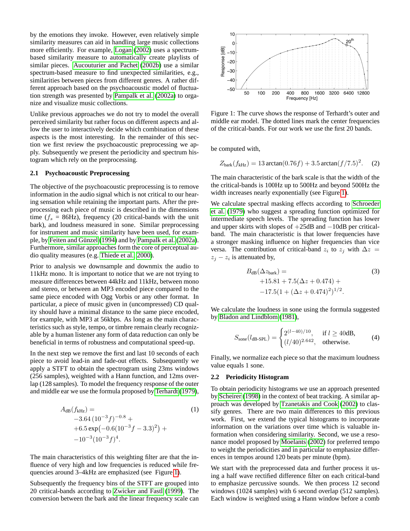by the emotions they invoke. However, even relatively simple similarity measures can aid in handling large music collections more efficiently. For example, [Logan \(2002\)](#page-7-12) uses a spectrumbased similarity measure to automatically create playlists of similar pieces. [Aucouturier and Pachet](#page-7-1) [\(2002b\)](#page-7-1) use a similar spectrum-based measure to find unexpected similarities, e.g., similarities between pieces from different genres. A rather different approach based on the psychoacoustic model of fluctuation strength was presented by [Pampalk et al. \(2002a\)](#page-7-3) to organize and visualize music collections.

Unlike previous approaches we do not try to model the overall perceived similarity but rather focus on different aspects and allow the user to interactively decide which combination of these aspects is the most interesting. In the remainder of this section we first review the psychoacoustic preprocessing we apply. Subsequently we present the periodicity and spectrum histogram which rely on the preprocessing.

### **2.1 Psychoacoustic Preprocessing**

The objective of the psychoacoustic preprocessing is to remove information in the audio signal which is not critical to our hearing sensation while retaining the important parts. After the preprocessing each piece of music is described in the dimensions time ( $f_s$  = 86Hz), frequency (20 critical-bands with the unit bark), and loudness measured in sone. Similar preprocessing for instrument and music similarity have been used, for exam-ple, by Feiten and Günzel [\(1994\)](#page-7-13) and by [Pampalk et al. \(2002a\)](#page-7-3). Furthermore, similar approaches form the core of perceptual audio quality measures (e.g. [Thiede et al., 2000\)](#page-7-14).

Prior to analysis we downsample and downmix the audio to 11kHz mono. It is important to notice that we are not trying to measure differences between 44kHz and 11kHz, between mono and stereo, or between an MP3 encoded piece compared to the same piece encoded with Ogg Vorbis or any other format. In particular, a piece of music given in (uncompressed) CD quality should have a minimal distance to the same piece encoded, for example, with MP3 at 56kbps. As long as the main characteristics such as style, tempo, or timbre remain clearly recognizable by a human listener any form of data reduction can only be beneficial in terms of robustness and computational speed-up.

In the next step we remove the first and last 10 seconds of each piece to avoid lead-in and fade-out effects. Subsequently we apply a STFT to obtain the spectrogram using 23ms windows (256 samples), weighted with a Hann function, and 12ms overlap (128 samples). To model the frequency response of the outer and middle ear we use the formula proposed by [Terhardt \(1979\)](#page-7-15),

$$
A_{\text{dB}}(f_{\text{kHz}}) =
$$
\n
$$
-3.64 (10^{-3} f)^{-0.8} +
$$
\n
$$
+6.5 \exp(-0.6(10^{-3} f - 3.3)^{2}) +
$$
\n
$$
-10^{-3} (10^{-3} f)^{4}.
$$
\n(1)

The main characteristics of this weighting filter are that the influence of very high and low frequencies is reduced while frequencies around 3–4kHz are emphasized (see Figure [1\)](#page-1-0).

Subsequently the frequency bins of the STFT are grouped into 20 critical-bands according to [Zwicker and Fastl \(1999\)](#page-7-16). The conversion between the bark and the linear frequency scale can



<span id="page-1-0"></span>Figure 1: The curve shows the response of Terhardt's outer and middle ear model. The dotted lines mark the center frequencies of the critical-bands. For our work we use the first 20 bands.

be computed with,

$$
Z_{\text{bark}}(f_{\text{kHz}}) = 13 \arctan(0.76f) + 3.5 \arctan(f/7.5)^2. \quad (2)
$$

The main characteristic of the bark scale is that the width of the the critical-bands is 100Hz up to 500Hz and beyond 500Hz the width increases nearly exponentially (see Figure [1\)](#page-1-0).

We calculate spectral masking effects according to [Schroeder](#page-7-17) [et al.](#page-7-17) [\(1979\)](#page-7-17) who suggest a spreading function optimized for intermediate speech levels. The spreading function has lower and upper skirts with slopes of +25dB and −10dB per criticalband. The main characteristic is that lower frequencies have a stronger masking influence on higher frequencies than vice versa. The contribution of critical-band  $z_i$  to  $z_j$  with  $\Delta z =$  $z_j - z_i$  is attenuated by,

$$
B_{\text{dB}}(\Delta z_{\text{bark}}) = \tag{3}
$$
  
+15.81 + 7.5( $\Delta z$  + 0.474) +  
-17.5(1 + ( $\Delta z$  + 0.474)<sup>2</sup>)<sup>1/2</sup>.

We calculate the loudness in sone using the formula suggested by [Bladon and Lindblom](#page-7-18) [\(1981\)](#page-7-18),

$$
S_{\text{some}}(l_{\text{dB-SPL}}) = \begin{cases} 2^{(l-40)/10}, & \text{if } l \ge 40 \text{dB}, \\ (l/40)^{2.642}, & \text{otherwise.} \end{cases}
$$
(4)

Finally, we normalize each piece so that the maximum loudness value equals 1 sone.

### **2.2 Periodicity Histogram**

To obtain periodicity histograms we use an approach presented by [Scheirer \(1998\)](#page-7-19) in the context of beat tracking. A similar approach was developed by [Tzanetakis and Cook \(2002\)](#page-7-20) to classify genres. There are two main differences to this previous work. First, we extend the typical histograms to incorporate information on the variations over time which is valuable information when considering similarity. Second, we use a resonance model proposed by [Moelants \(2002\)](#page-7-21) for preferred tempo to weight the periodicities and in particular to emphasize differences in tempos around 120 beats per minute (bpm).

We start with the preprocessed data and further process it using a half wave rectified difference filter on each critical-band to emphasize percussive sounds. We then process 12 second windows (1024 samples) with 6 second overlap (512 samples). Each window is weighted using a Hann window before a comb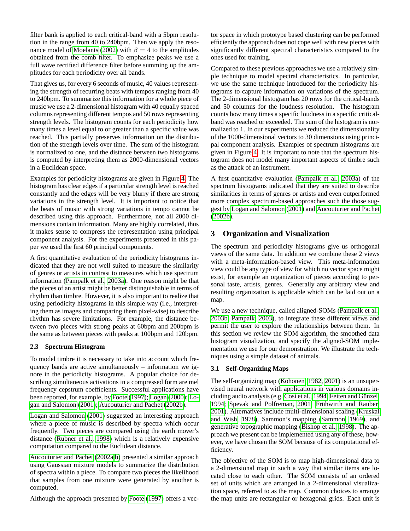filter bank is applied to each critical-band with a 5bpm resolution in the range from 40 to 240bpm. Then we apply the reso-nance model of [Moelants \(2002\)](#page-7-21) with  $\beta = 4$  to the amplitudes obtained from the comb filter. To emphasize peaks we use a full wave rectified difference filter before summing up the amplitudes for each periodicity over all bands.

That gives us, for every 6 seconds of music, 40 values representing the strength of recurring beats with tempos ranging from 40 to 240bpm. To summarize this information for a whole piece of music we use a 2-dimensional histogram with 40 equally spaced columns representing different tempos and 50 rows representing strength levels. The histogram counts for each periodicity how many times a level equal to or greater than a specific value was reached. This partially preserves information on the distribution of the strength levels over time. The sum of the histogram is normalized to one, and the distance between two histograms is computed by interpreting them as 2000-dimensional vectors in a Euclidean space.

Examples for periodicity histograms are given in Figure [4.](#page-6-0) The histogram has clear edges if a particular strength level is reached constantly and the edges will be very blurry if there are strong variations in the strength level. It is important to notice that the beats of music with strong variations in tempo cannot be described using this approach. Furthermore, not all 2000 dimensions contain information. Many are highly correlated, thus it makes sense to compress the representation using principal component analysis. For the experiments presented in this paper we used the first 60 principal components.

A first quantitative evaluation of the periodicity histograms indicated that they are not well suited to measure the similarity of genres or artists in contrast to measures which use spectrum information [\(Pampalk et al., 2003a\)](#page-7-22). One reason might be that the pieces of an artist might be better distinguishable in terms of rhythm than timbre. However, it is also important to realize that using periodicity histograms in this simple way (i.e., interpreting them as images and comparing them pixel-wise) to describe rhythm has severe limitations. For example, the distance between two pieces with strong peaks at 60bpm and 200bpm is the same as between pieces with peaks at 100bpm and 120bpm.

## **2.3 Spectrum Histogram**

To model timbre it is necessary to take into account which frequency bands are active simultaneously – information we ignore in the periodicity histograms. A popular choice for describing simultaneous activations in a compressed form are mel frequency cepstrum coefficients. Successful applications have been reported, for example, by [Foote](#page-7-23) [\(1997\)](#page-7-23); [Logan](#page-7-24) [\(2000\)](#page-7-24); [Lo](#page-7-7)[gan and Salomon \(2001\)](#page-7-7); [Aucouturier and Pachet \(2002b\)](#page-7-1).

[Logan and Salomon \(2001\)](#page-7-7) suggested an interesting approach where a piece of music is described by spectra which occur frequently. Two pieces are compared using the earth mover's distance [\(Rubner et al., 1998\)](#page-7-25) which is a relatively expensive computation compared to the Euclidean distance.

[Aucouturier and Pachet \(2002a,](#page-7-26)[b\)](#page-7-1) presented a similar approach using Gaussian mixture models to summarize the distribution of spectra within a piece. To compare two pieces the likelihood that samples from one mixture were generated by another is computed.

Although the approach presented by [Foote \(1997\)](#page-7-23) offers a vec-

tor space in which prototype based clustering can be performed efficiently the approach does not cope well with new pieces with significantly different spectral characteristics compared to the ones used for training.

Compared to these previous approaches we use a relatively simple technique to model spectral characteristics. In particular, we use the same technique introduced for the periodicity histograms to capture information on variations of the spectrum. The 2-dimensional histogram has 20 rows for the critical-bands and 50 columns for the loudness resolution. The histogram counts how many times a specific loudness in a specific criticalband was reached or exceeded. The sum of the histogram is normalized to 1. In our experiments we reduced the dimensionality of the 1000-dimensional vectors to 30 dimensions using principal component analysis. Examples of spectrum histograms are given in Figure [4.](#page-6-0) It is important to note that the spectrum histogram does not model many important aspects of timbre such as the attack of an instrument.

A first quantitative evaluation [\(Pampalk et al., 2003a\)](#page-7-22) of the spectrum histograms indicated that they are suited to describe similarities in terms of genres or artists and even outperformed more complex spectrum-based approaches such the those suggest by [Logan and Salomon \(2001\)](#page-7-7) and [Aucouturier and Pachet](#page-7-1) [\(2002b\)](#page-7-1).

# **3 Organization and Visualization**

The spectrum and periodicity histograms give us orthogonal views of the same data. In addition we combine these 2 views with a meta-information-based view. This meta-information view could be any type of view for which no vector space might exist, for example an organization of pieces according to personal taste, artists, genres. Generally any arbitrary view and resulting organization is applicable which can be laid out on a map.

We use a new technique, called aligned-SOMs [\(Pampalk et al.,](#page-7-11) [2003b;](#page-7-11) [Pampalk, 2003\)](#page-7-27), to integrate these different views and permit the user to explore the relationships between them. In this section we review the SOM algorithm, the smoothed data histogram visualization, and specify the aligned-SOM implementation we use for our demonstration. We illustrate the techniques using a simple dataset of animals.

## **3.1 Self-Organizing Maps**

The self-organizing map [\(Kohonen, 1982,](#page-7-8) [2001\)](#page-7-9) is an unsupervised neural network with applications in various domains in-cluding audio analysis (e.g. [Cosi et al., 1994;](#page-7-28) Feiten and Günzel, [1994;](#page-7-13) [Spevak and Polfreman, 2001;](#page-7-29) Frühwirth and Rauber, [2001\)](#page-7-30). Alternatives include multi-dimensional scaling [\(Kruskal](#page-7-31) [and Wish, 1978\)](#page-7-31), Sammon's mapping [\(Sammon, 1969\)](#page-7-32), and generative topographic mapping [\(Bishop et al., 1998\)](#page-7-33). The approach we present can be implemented using any of these, however, we have chosen the SOM because of its computational efficiency.

The objective of the SOM is to map high-dimensional data to a 2-dimensional map in such a way that similar items are located close to each other. The SOM consists of an ordered set of units which are arranged in a 2-dimensional visualization space, referred to as the map. Common choices to arrange the map units are rectangular or hexagonal grids. Each unit is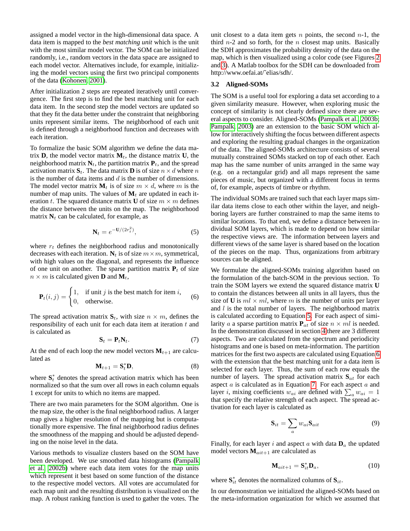assigned a model vector in the high-dimensional data space. A data item is mapped to the *best matching unit* which is the unit with the most similar model vector. The SOM can be initialized randomly, i.e., random vectors in the data space are assigned to each model vector. Alternatives include, for example, initializing the model vectors using the first two principal components of the data [\(Kohonen, 2001\)](#page-7-9).

After initialization 2 steps are repeated iteratively until convergence. The first step is to find the best matching unit for each data item. In the second step the model vectors are updated so that they fit the data better under the constraint that neighboring units represent similar items. The neighborhood of each unit is defined through a neighborhood function and decreases with each iteration.

To formalize the basic SOM algorithm we define the data matrix  $\mathbf{D}$ , the model vector matrix  $\mathbf{M}_t$ , the distance matrix  $\mathbf{U}$ , the neighborhood matrix  $N_t$ , the partition matrix  $P_t$ , and the spread activation matrix  $S_t$ . The data matrix **D** is of size  $n \times d$  where n is the number of data items and  $d$  is the number of dimensions. The model vector matrix  $M_t$  is of size  $m \times d$ , where m is the number of map units. The values of  $M_t$  are updated in each iteration t. The squared distance matrix **U** of size  $m \times m$  defines the distance between the units on the map. The neighborhood matrix  $N_t$  can be calculated, for example, as

<span id="page-3-1"></span><span id="page-3-0"></span>
$$
\mathbf{N}_t = e^{-\mathbf{U}/(2r_t^2)},\tag{5}
$$

where  $r_t$  defines the neighborhood radius and monotonically decreases with each iteration.  $N_t$  is of size  $m \times m$ , symmetrical, with high values on the diagonal, and represents the influence of one unit on another. The sparse partition matrix  $P_t$  of size  $n \times m$  is calculated given **D** and **M**<sub>t</sub>,

$$
\mathbf{P}_t(i,j) = \begin{cases} 1, & \text{if unit } j \text{ is the best match for item } i, \\ 0, & \text{otherwise.} \end{cases}
$$
 (6)

The spread activation matrix  $S_t$ , with size  $n \times m$ , defines the responsibility of each unit for each data item at iteration  $t$  and is calculated as

<span id="page-3-2"></span>
$$
\mathbf{S}_t = \mathbf{P}_t \mathbf{N}_t. \tag{7}
$$

At the end of each loop the new model vectors  $M_{t+1}$  are calculated as

$$
\mathbf{M}_{t+1} = \mathbf{S}_t^* \mathbf{D},\tag{8}
$$

where  $S_t^*$  denotes the spread activation matrix which has been normalized so that the sum over all rows in each column equals 1 except for units to which no items are mapped.

There are two main parameters for the SOM algorithm. One is the map size, the other is the final neighborhood radius. A larger map gives a higher resolution of the mapping but is computationally more expensive. The final neighborhood radius defines the smoothness of the mapping and should be adjusted depending on the noise level in the data.

Various methods to visualize clusters based on the SOM have been developed. We use smoothed data histograms [\(Pampalk](#page-7-10) [et al., 2002b\)](#page-7-10) where each data item votes for the map units which represent it best based on some function of the distance to the respective model vectors. All votes are accumulated for each map unit and the resulting distribution is visualized on the map. A robust ranking function is used to gather the votes. The unit closest to a data item gets n points, the second  $n-1$ , the third  $n-2$  and so forth, for the n closest map units. Basically the SDH approximates the probability density of the data on the map, which is then visualized using a color code (see Figures [2](#page-4-0) and [3\)](#page-5-0). A Matlab toolbox for the SDH can be downloaded from http://www.oefai.at/˜elias/sdh/.

#### **3.2 Aligned-SOMs**

The SOM is a useful tool for exploring a data set according to a given similarity measure. However, when exploring music the concept of similarity is not clearly defined since there are several aspects to consider. Aligned-SOMs [\(Pampalk et al., 2003b;](#page-7-11) [Pampalk, 2003\)](#page-7-27) are an extension to the basic SOM which allow for interactively shifting the focus between different aspects and exploring the resulting gradual changes in the organization of the data. The aligned-SOMs architecture consists of several mutually constrained SOMs stacked on top of each other. Each map has the same number of units arranged in the same way (e.g. on a rectangular grid) and all maps represent the same pieces of music, but organized with a different focus in terms of, for example, aspects of timbre or rhythm.

The individual SOMs are trained such that each layer maps similar data items close to each other within the layer, and neighboring layers are further constrained to map the same items to similar locations. To that end, we define a distance between individual SOM layers, which is made to depend on how similar the respective views are. The information between layers and different views of the same layer is shared based on the location of the pieces on the map. Thus, organizations from arbitrary sources can be aligned.

We formulate the aligned-SOMs training algorithm based on the formulation of the batch-SOM in the previous section. To train the SOM layers we extend the squared distance matrix **U** to contain the distances between all units in all layers, thus the size of **U** is  $ml \times ml$ , where m is the number of units per layer and  $l$  is the total number of layers. The neighborhood matrix is calculated according to Equation [5.](#page-3-0) For each aspect of similarity a a sparse partition matrix  $P_{at}$  of size  $n \times ml$  is needed. In the demonstration discussed in section [4](#page-4-1) there are 3 different aspects. Two are calculated from the spectrum and periodicity histograms and one is based on meta-information. The partition matrices for the first two aspects are calculated using Equation [6](#page-3-1) with the extension that the best matching unit for a data item is selected for each layer. Thus, the sum of each row equals the number of layers. The spread activation matrix  $S_{at}$  for each aspect  $a$  is calculated as in Equation [7.](#page-3-2) For each aspect  $a$  and layer *i*, mixing coefficients  $w_{ai}$  are defined with  $\sum_a w_{ai} = 1$ that specify the relative strength of each aspect. The spread activation for each layer is calculated as

$$
\mathbf{S}_{it} = \sum_{a} w_{ai} \mathbf{S}_{ait} \tag{9}
$$

Finally, for each layer i and aspect  $a$  with data  $D_a$  the updated model vectors  $M_{ait+1}$  are calculated as

$$
\mathbf{M}_{ait+1} = \mathbf{S}_{it}^* \mathbf{D}_a,\tag{10}
$$

where  $S_{it}^*$  denotes the normalized columns of  $S_{it}$ .

In our demonstration we initialized the aligned-SOMs based on the meta-information organization for which we assumed that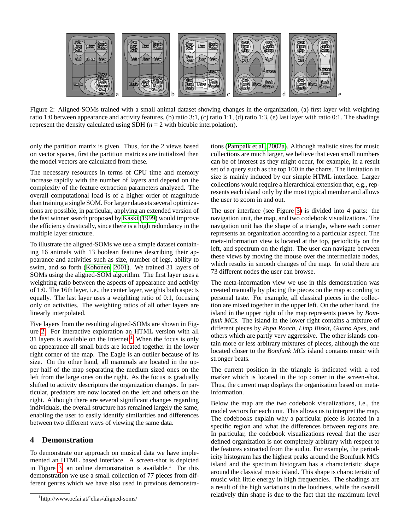

<span id="page-4-0"></span>Figure 2: Aligned-SOMs trained with a small animal dataset showing changes in the organization, (a) first layer with weighting ratio 1:0 between appearance and activity features, (b) ratio 3:1, (c) ratio 1:1, (d) ratio 1:3, (e) last layer with ratio 0:1. The shadings represent the density calculated using SDH  $(n = 2$  with bicubic interpolation).

only the partition matrix is given. Thus, for the 2 views based on vector spaces, first the partition matrices are initialized then the model vectors are calculated from these.

The necessary resources in terms of CPU time and memory increase rapidly with the number of layers and depend on the complexity of the feature extraction parameters analyzed. The overall computational load is of a higher order of magnitude than training a single SOM. For larger datasets several optimizations are possible, in particular, applying an extended version of the fast winner search proposed by [Kaski \(1999\)](#page-7-34) would improve the efficiency drastically, since there is a high redundancy in the multiple layer structure.

To illustrate the aligned-SOMs we use a simple dataset containing 16 animals with 13 boolean features describing their appearance and activities such as size, number of legs, ability to swim, and so forth [\(Kohonen, 2001\)](#page-7-9). We trained 31 layers of SOMs using the aligned-SOM algorithm. The first layer uses a weighting ratio between the aspects of appearance and activity of 1:0. The 16th layer, i.e., the center layer, weights both aspects equally. The last layer uses a weighting ratio of 0:1, focusing only on activities. The weighting ratios of all other layers are linearly interpolated.

Five layers from the resulting aligned-SOMs are shown in Figure [2.](#page-4-0) For interactive exploration an HTML version with all 3[1](#page-4-2) layers is available on the Internet.<sup>1</sup> When the focus is only on appearance all small birds are located together in the lower right corner of the map. The Eagle is an outlier because of its size. On the other hand, all mammals are located in the upper half of the map separating the medium sized ones on the left from the large ones on the right. As the focus is gradually shifted to activity descriptors the organization changes. In particular, predators are now located on the left and others on the right. Although there are several significant changes regarding individuals, the overall structure has remained largely the same, enabling the user to easily identify similarities and differences between two different ways of viewing the same data.

## <span id="page-4-1"></span>**4 Demonstration**

To demonstrate our approach on musical data we have implemented an HTML based interface. A screen-shot is depicted in Figure [3,](#page-5-0) an online demonstration is available.<sup>1</sup> For this demonstration we use a small collection of 77 pieces from different genres which we have also used in previous demonstrations [\(Pampalk et al., 2002a\)](#page-7-3). Although realistic sizes for music collections are much larger, we believe that even small numbers can be of interest as they might occur, for example, in a result set of a query such as the top 100 in the charts. The limitation in size is mainly induced by our simple HTML interface. Larger collections would require a hierarchical extension that, e.g., represents each island only by the most typical member and allows the user to zoom in and out.

The user interface (see Figure [3\)](#page-5-0) is divided into 4 parts: the navigation unit, the map, and two codebook visualizations. The navigation unit has the shape of a triangle, where each corner represents an organization according to a particular aspect. The meta-information view is located at the top, periodicity on the left, and spectrum on the right. The user can navigate between these views by moving the mouse over the intermediate nodes, which results in smooth changes of the map. In total there are 73 different nodes the user can browse.

The meta-information view we use in this demonstration was created manually by placing the pieces on the map according to personal taste. For example, all classical pieces in the collection are mixed together in the upper left. On the other hand, the island in the upper right of the map represents pieces by *Bomfunk MCs*. The island in the lower right contains a mixture of different pieces by *Papa Roach*, *Limp Bizkit*, *Guano Apes*, and others which are partly very aggressive. The other islands contain more or less arbitrary mixtures of pieces, although the one located closer to the *Bomfunk MCs* island contains music with stronger beats.

The current position in the triangle is indicated with a red marker which is located in the top corner in the screen-shot. Thus, the current map displays the organization based on metainformation.

Below the map are the two codebook visualizations, i.e., the model vectors for each unit. This allows us to interpret the map. The codebooks explain why a particular piece is located in a specific region and what the differences between regions are. In particular, the codebook visualizations reveal that the user defined organization is not completely arbitrary with respect to the features extracted from the audio. For example, the periodicity histogram has the highest peaks around the Bomfunk MCs island and the spectrum histogram has a characteristic shape around the classical music island. This shape is characteristic of music with little energy in high frequencies. The shadings are a result of the high variations in the loudness, while the overall relatively thin shape is due to the fact that the maximum level

<span id="page-4-2"></span><sup>1</sup> http://www.oefai.at/˜elias/aligned-soms/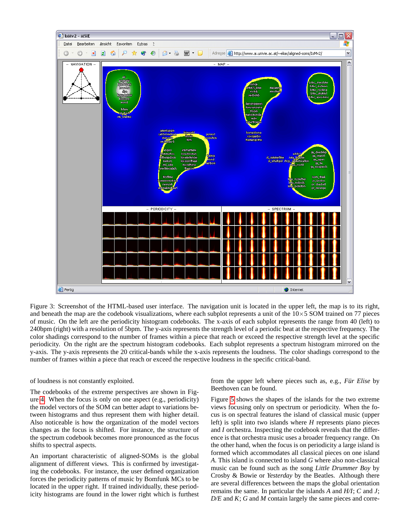

<span id="page-5-0"></span>Figure 3: Screenshot of the HTML-based user interface. The navigation unit is located in the upper left, the map is to its right, and beneath the map are the codebook visualizations, where each subplot represents a unit of the  $10\times5$  SOM trained on 77 pieces of music. On the left are the periodicity histogram codebooks. The x-axis of each subplot represents the range from 40 (left) to 240bpm (right) with a resolution of 5bpm. The y-axis represents the strength level of a periodic beat at the respective frequency. The color shadings correspond to the number of frames within a piece that reach or exceed the respective strength level at the specific periodicity. On the right are the spectrum histogram codebooks. Each subplot represents a spectrum histogram mirrored on the y-axis. The y-axis represents the 20 critical-bands while the x-axis represents the loudness. The color shadings correspond to the number of frames within a piece that reach or exceed the respective loudness in the specific critical-band.

### of loudness is not constantly exploited.

The codebooks of the extreme perspectives are shown in Figure [4.](#page-6-0) When the focus is only on one aspect (e.g., periodicity) the model vectors of the SOM can better adapt to variations between histograms and thus represent them with higher detail. Also noticeable is how the organization of the model vectors changes as the focus is shifted. For instance, the structure of the spectrum codebook becomes more pronounced as the focus shifts to spectral aspects.

An important characteristic of aligned-SOMs is the global alignment of different views. This is confirmed by investigating the codebooks. For instance, the user defined organization forces the periodicity patterns of music by Bomfunk MCs to be located in the upper right. If trained individually, these periodicity histograms are found in the lower right which is furthest from the upper left where pieces such as, e.g., *Für Elise* by Beethoven can be found.

Figure [5](#page-6-1) shows the shapes of the islands for the two extreme views focusing only on spectrum or periodicity. When the focus is on spectral features the island of classical music (upper left) is split into two islands where *H* represents piano pieces and *I* orchestra. Inspecting the codebook reveals that the difference is that orchestra music uses a broader frequency range. On the other hand, when the focus is on periodicity a large island is formed which accommodates all classical pieces on one island *A*. This island is connected to island *G* where also non-classical music can be found such as the song *Little Drummer Boy* by Crosby & Bowie or *Yesterday* by the Beatles. Although there are several differences between the maps the global orientation remains the same. In particular the islands *A* and *H/I*; *C* and *J*; *D/E* and *K*; *G* and *M* contain largely the same pieces and corre-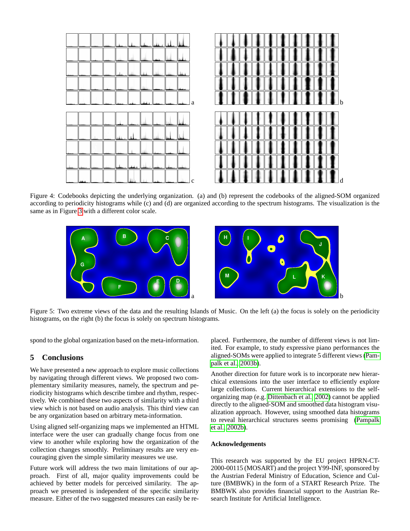

Figure 4: Codebooks depicting the underlying organization. (a) and (b) represent the codebooks of the aligned-SOM organized according to periodicity histograms while (c) and (d) are organized according to the spectrum histograms. The visualization is the same as in Figure [3](#page-5-0) with a different color scale.

<span id="page-6-0"></span>

Figure 5: Two extreme views of the data and the resulting Islands of Music. On the left (a) the focus is solely on the periodicity histograms, on the right (b) the focus is solely on spectrum histograms.

<span id="page-6-1"></span>spond to the global organization based on the meta-information.

## **5 Conclusions**

We have presented a new approach to explore music collections by navigating through different views. We proposed two complementary similarity measures, namely, the spectrum and periodicity histograms which describe timbre and rhythm, respectively. We combined these two aspects of similarity with a third view which is not based on audio analysis. This third view can be any organization based on arbitrary meta-information.

Using aligned self-organizing maps we implemented an HTML interface were the user can gradually change focus from one view to another while exploring how the organization of the collection changes smoothly. Preliminary results are very encouraging given the simple similarity measures we use.

Future work will address the two main limitations of our approach. First of all, major quality improvements could be achieved by better models for perceived similarity. The approach we presented is independent of the specific similarity measure. Either of the two suggested measures can easily be replaced. Furthermore, the number of different views is not limited. For example, to study expressive piano performances the aligned-SOMs were applied to integrate 5 different views [\(Pam](#page-7-11)[palk et al., 2003b\)](#page-7-11).

Another direction for future work is to incorporate new hierarchical extensions into the user interface to efficiently explore large collections. Current hierarchical extensions to the selforganizing map (e.g. [Dittenbach et al., 2002\)](#page-7-35) cannot be applied directly to the aligned-SOM and smoothed data histogram visualization approach. However, using smoothed data histograms to reveal hierarchical structures seems promising [\(Pampalk](#page-7-10) [et al., 2002b\)](#page-7-10).

### **Acknowledgements**

This research was supported by the EU project HPRN-CT-2000-00115 (MOSART) and the project Y99-INF, sponsored by the Austrian Federal Ministry of Education, Science and Culture (BMBWK) in the form of a START Research Prize. The BMBWK also provides financial support to the Austrian Research Institute for Artificial Intelligence.